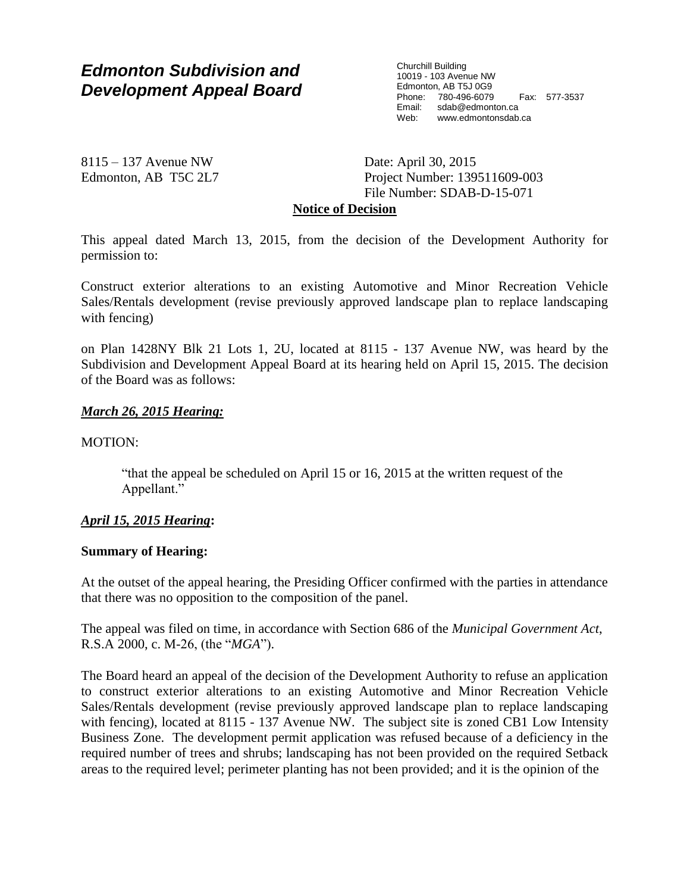# *Edmonton Subdivision and Development Appeal Board*

Churchill Building 10019 - 103 Avenue NW Edmonton, AB T5J 0G9 Phone: 780-496-6079 Fax: 577-3537 sdab@edmonton.ca Web: www.edmontonsdab.ca

8115 – 137 Avenue NW Edmonton, AB T5C 2L7 Date: April 30, 2015 Project Number: 139511609-003 File Number: SDAB-D-15-071

## **Notice of Decision**

This appeal dated March 13, 2015, from the decision of the Development Authority for permission to:

Construct exterior alterations to an existing Automotive and Minor Recreation Vehicle Sales/Rentals development (revise previously approved landscape plan to replace landscaping with fencing)

on Plan 1428NY Blk 21 Lots 1, 2U, located at 8115 - 137 Avenue NW, was heard by the Subdivision and Development Appeal Board at its hearing held on April 15, 2015. The decision of the Board was as follows:

#### *March 26, 2015 Hearing:*

MOTION:

"that the appeal be scheduled on April 15 or 16, 2015 at the written request of the Appellant."

## *April 15, 2015 Hearing***:**

## **Summary of Hearing:**

At the outset of the appeal hearing, the Presiding Officer confirmed with the parties in attendance that there was no opposition to the composition of the panel.

The appeal was filed on time, in accordance with Section 686 of the *Municipal Government Act*, R.S.A 2000, c. M-26, (the "*MGA*").

The Board heard an appeal of the decision of the Development Authority to refuse an application to construct exterior alterations to an existing Automotive and Minor Recreation Vehicle Sales/Rentals development (revise previously approved landscape plan to replace landscaping with fencing), located at 8115 - 137 Avenue NW. The subject site is zoned CB1 Low Intensity Business Zone. The development permit application was refused because of a deficiency in the required number of trees and shrubs; landscaping has not been provided on the required Setback areas to the required level; perimeter planting has not been provided; and it is the opinion of the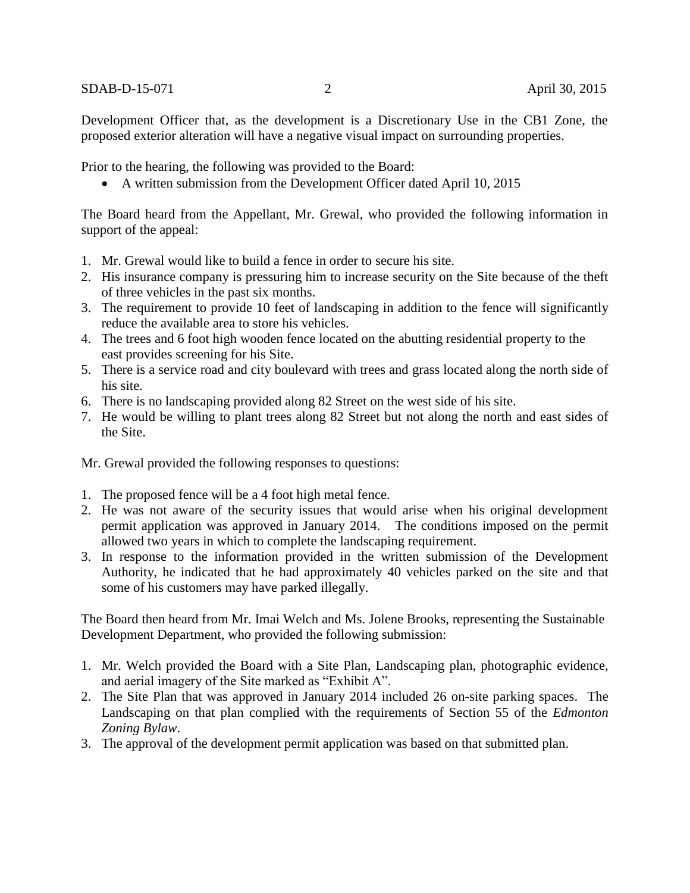Development Officer that, as the development is a Discretionary Use in the CB1 Zone, the proposed exterior alteration will have a negative visual impact on surrounding properties.

Prior to the hearing, the following was provided to the Board:

A written submission from the Development Officer dated April 10, 2015

The Board heard from the Appellant, Mr. Grewal, who provided the following information in support of the appeal:

- 1. Mr. Grewal would like to build a fence in order to secure his site.
- 2. His insurance company is pressuring him to increase security on the Site because of the theft of three vehicles in the past six months.
- 3. The requirement to provide 10 feet of landscaping in addition to the fence will significantly reduce the available area to store his vehicles.
- 4. The trees and 6 foot high wooden fence located on the abutting residential property to the east provides screening for his Site.
- 5. There is a service road and city boulevard with trees and grass located along the north side of his site.
- 6. There is no landscaping provided along 82 Street on the west side of his site.
- 7. He would be willing to plant trees along 82 Street but not along the north and east sides of the Site.

Mr. Grewal provided the following responses to questions:

- 1. The proposed fence will be a 4 foot high metal fence.
- 2. He was not aware of the security issues that would arise when his original development permit application was approved in January 2014. The conditions imposed on the permit allowed two years in which to complete the landscaping requirement.
- 3. In response to the information provided in the written submission of the Development Authority, he indicated that he had approximately 40 vehicles parked on the site and that some of his customers may have parked illegally.

The Board then heard from Mr. Imai Welch and Ms. Jolene Brooks, representing the Sustainable Development Department, who provided the following submission:

- 1. Mr. Welch provided the Board with a Site Plan, Landscaping plan, photographic evidence, and aerial imagery of the Site marked as "Exhibit A".
- 2. The Site Plan that was approved in January 2014 included 26 on-site parking spaces. The Landscaping on that plan complied with the requirements of Section 55 of the *Edmonton Zoning Bylaw*.
- 3. The approval of the development permit application was based on that submitted plan.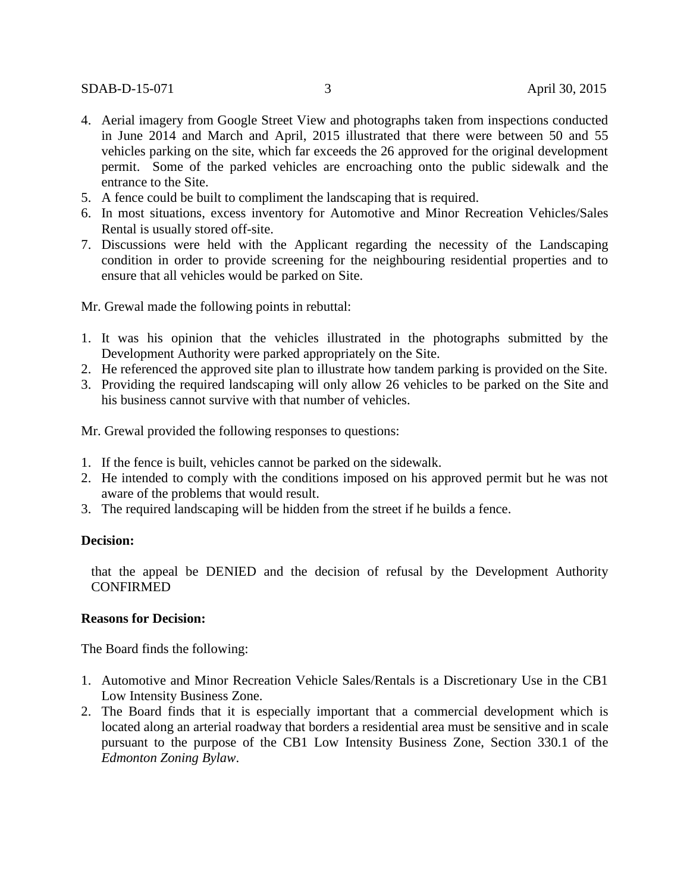- 4. Aerial imagery from Google Street View and photographs taken from inspections conducted in June 2014 and March and April, 2015 illustrated that there were between 50 and 55 vehicles parking on the site, which far exceeds the 26 approved for the original development permit. Some of the parked vehicles are encroaching onto the public sidewalk and the entrance to the Site.
- 5. A fence could be built to compliment the landscaping that is required.
- 6. In most situations, excess inventory for Automotive and Minor Recreation Vehicles/Sales Rental is usually stored off-site.
- 7. Discussions were held with the Applicant regarding the necessity of the Landscaping condition in order to provide screening for the neighbouring residential properties and to ensure that all vehicles would be parked on Site.

Mr. Grewal made the following points in rebuttal:

- 1. It was his opinion that the vehicles illustrated in the photographs submitted by the Development Authority were parked appropriately on the Site.
- 2. He referenced the approved site plan to illustrate how tandem parking is provided on the Site.
- 3. Providing the required landscaping will only allow 26 vehicles to be parked on the Site and his business cannot survive with that number of vehicles.

Mr. Grewal provided the following responses to questions:

- 1. If the fence is built, vehicles cannot be parked on the sidewalk.
- 2. He intended to comply with the conditions imposed on his approved permit but he was not aware of the problems that would result.
- 3. The required landscaping will be hidden from the street if he builds a fence.

## **Decision:**

that the appeal be DENIED and the decision of refusal by the Development Authority **CONFIRMED** 

## **Reasons for Decision:**

The Board finds the following:

- 1. Automotive and Minor Recreation Vehicle Sales/Rentals is a Discretionary Use in the CB1 Low Intensity Business Zone.
- 2. The Board finds that it is especially important that a commercial development which is located along an arterial roadway that borders a residential area must be sensitive and in scale pursuant to the purpose of the CB1 Low Intensity Business Zone, Section 330.1 of the *Edmonton Zoning Bylaw*.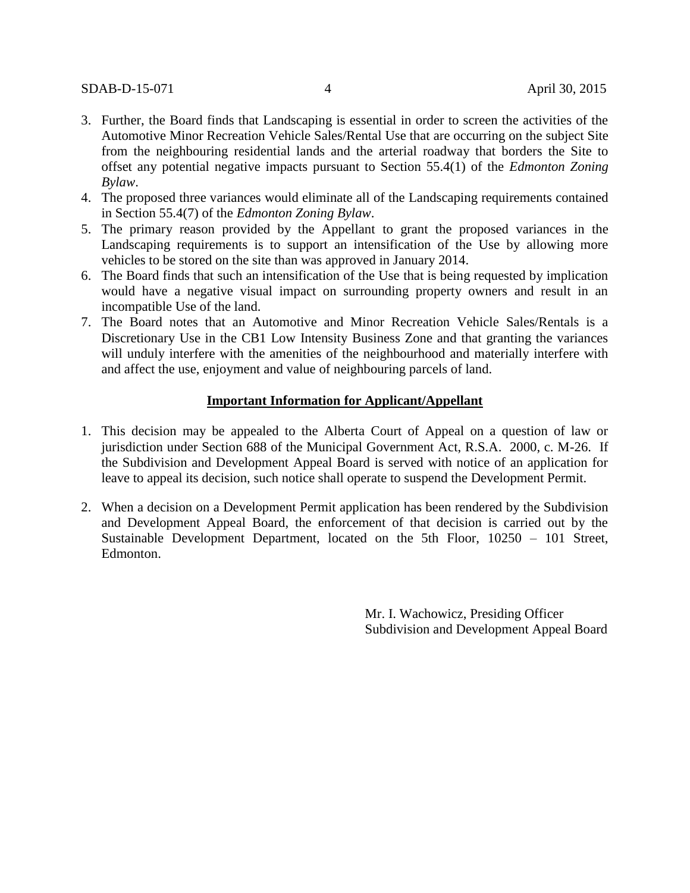- 3. Further, the Board finds that Landscaping is essential in order to screen the activities of the Automotive Minor Recreation Vehicle Sales/Rental Use that are occurring on the subject Site from the neighbouring residential lands and the arterial roadway that borders the Site to offset any potential negative impacts pursuant to Section 55.4(1) of the *Edmonton Zoning Bylaw*.
- 4. The proposed three variances would eliminate all of the Landscaping requirements contained in Section 55.4(7) of the *Edmonton Zoning Bylaw*.
- 5. The primary reason provided by the Appellant to grant the proposed variances in the Landscaping requirements is to support an intensification of the Use by allowing more vehicles to be stored on the site than was approved in January 2014.
- 6. The Board finds that such an intensification of the Use that is being requested by implication would have a negative visual impact on surrounding property owners and result in an incompatible Use of the land.
- 7. The Board notes that an Automotive and Minor Recreation Vehicle Sales/Rentals is a Discretionary Use in the CB1 Low Intensity Business Zone and that granting the variances will unduly interfere with the amenities of the neighbourhood and materially interfere with and affect the use, enjoyment and value of neighbouring parcels of land.

#### **Important Information for Applicant/Appellant**

- 1. This decision may be appealed to the Alberta Court of Appeal on a question of law or jurisdiction under Section 688 of the Municipal Government Act, R.S.A. 2000, c. M-26. If the Subdivision and Development Appeal Board is served with notice of an application for leave to appeal its decision, such notice shall operate to suspend the Development Permit.
- 2. When a decision on a Development Permit application has been rendered by the Subdivision and Development Appeal Board, the enforcement of that decision is carried out by the Sustainable Development Department, located on the 5th Floor, 10250 – 101 Street, Edmonton.

Mr. I. Wachowicz, Presiding Officer Subdivision and Development Appeal Board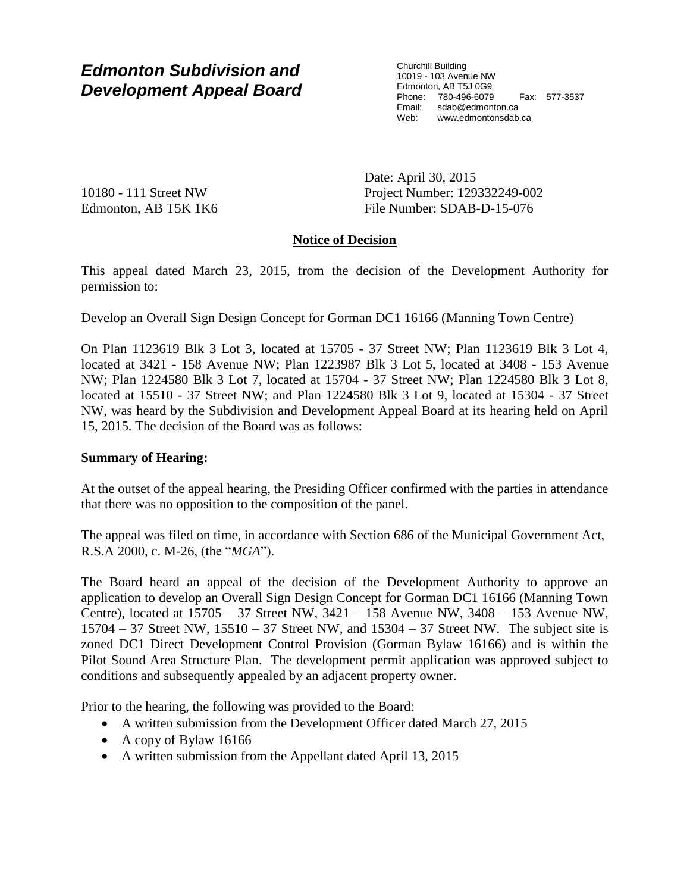# *Edmonton Subdivision and Development Appeal Board*

Churchill Building 10019 - 103 Avenue NW Edmonton, AB T5J 0G9 Phone: 780-496-6079 Fax: 577-3537 Email: sdab@edmonton.ca Web: www.edmontonsdab.ca

10180 - 111 Street NW Edmonton, AB T5K 1K6 Date: April 30, 2015 Project Number: 129332249-002 File Number: SDAB-D-15-076

# **Notice of Decision**

This appeal dated March 23, 2015, from the decision of the Development Authority for permission to:

Develop an Overall Sign Design Concept for Gorman DC1 16166 (Manning Town Centre)

On Plan 1123619 Blk 3 Lot 3, located at 15705 - 37 Street NW; Plan 1123619 Blk 3 Lot 4, located at 3421 - 158 Avenue NW; Plan 1223987 Blk 3 Lot 5, located at 3408 - 153 Avenue NW; Plan 1224580 Blk 3 Lot 7, located at 15704 - 37 Street NW; Plan 1224580 Blk 3 Lot 8, located at 15510 - 37 Street NW; and Plan 1224580 Blk 3 Lot 9, located at 15304 - 37 Street NW, was heard by the Subdivision and Development Appeal Board at its hearing held on April 15, 2015. The decision of the Board was as follows:

# **Summary of Hearing:**

At the outset of the appeal hearing, the Presiding Officer confirmed with the parties in attendance that there was no opposition to the composition of the panel.

The appeal was filed on time, in accordance with Section 686 of the Municipal Government Act, R.S.A 2000, c. M-26, (the "*MGA*").

The Board heard an appeal of the decision of the Development Authority to approve an application to develop an Overall Sign Design Concept for Gorman DC1 16166 (Manning Town Centre), located at 15705 – 37 Street NW, 3421 – 158 Avenue NW, 3408 – 153 Avenue NW, 15704 – 37 Street NW, 15510 – 37 Street NW, and 15304 – 37 Street NW. The subject site is zoned DC1 Direct Development Control Provision (Gorman Bylaw 16166) and is within the Pilot Sound Area Structure Plan. The development permit application was approved subject to conditions and subsequently appealed by an adjacent property owner.

Prior to the hearing, the following was provided to the Board:

- A written submission from the Development Officer dated March 27, 2015
- A copy of Bylaw 16166
- A written submission from the Appellant dated April 13, 2015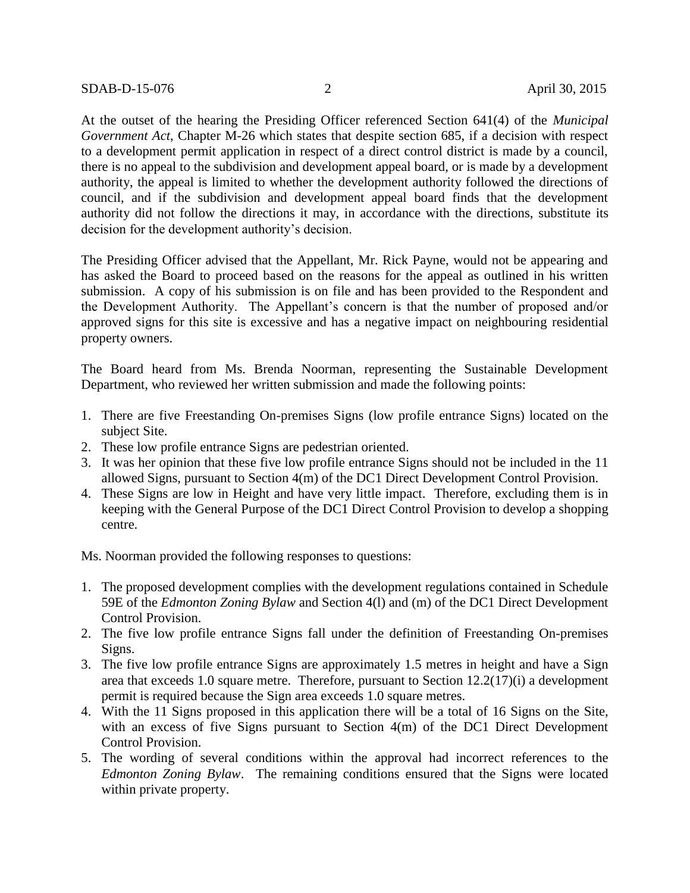At the outset of the hearing the Presiding Officer referenced Section 641(4) of the *Municipal Government Act*, Chapter M-26 which states that despite section 685, if a decision with respect to a development permit application in respect of a direct control district is made by a council, there is no appeal to the subdivision and development appeal board, or is made by a development authority, the appeal is limited to whether the development authority followed the directions of council, and if the subdivision and development appeal board finds that the development authority did not follow the directions it may, in accordance with the directions, substitute its decision for the development authority's decision.

The Presiding Officer advised that the Appellant, Mr. Rick Payne, would not be appearing and has asked the Board to proceed based on the reasons for the appeal as outlined in his written submission. A copy of his submission is on file and has been provided to the Respondent and the Development Authority. The Appellant's concern is that the number of proposed and/or approved signs for this site is excessive and has a negative impact on neighbouring residential property owners.

The Board heard from Ms. Brenda Noorman, representing the Sustainable Development Department, who reviewed her written submission and made the following points:

- 1. There are five Freestanding On-premises Signs (low profile entrance Signs) located on the subject Site.
- 2. These low profile entrance Signs are pedestrian oriented.
- 3. It was her opinion that these five low profile entrance Signs should not be included in the 11 allowed Signs, pursuant to Section 4(m) of the DC1 Direct Development Control Provision.
- 4. These Signs are low in Height and have very little impact. Therefore, excluding them is in keeping with the General Purpose of the DC1 Direct Control Provision to develop a shopping centre.

Ms. Noorman provided the following responses to questions:

- 1. The proposed development complies with the development regulations contained in Schedule 59E of the *Edmonton Zoning Bylaw* and Section 4(l) and (m) of the DC1 Direct Development Control Provision.
- 2. The five low profile entrance Signs fall under the definition of Freestanding On-premises Signs.
- 3. The five low profile entrance Signs are approximately 1.5 metres in height and have a Sign area that exceeds 1.0 square metre. Therefore, pursuant to Section 12.2(17)(i) a development permit is required because the Sign area exceeds 1.0 square metres.
- 4. With the 11 Signs proposed in this application there will be a total of 16 Signs on the Site, with an excess of five Signs pursuant to Section 4(m) of the DC1 Direct Development Control Provision.
- 5. The wording of several conditions within the approval had incorrect references to the *Edmonton Zoning Bylaw*. The remaining conditions ensured that the Signs were located within private property.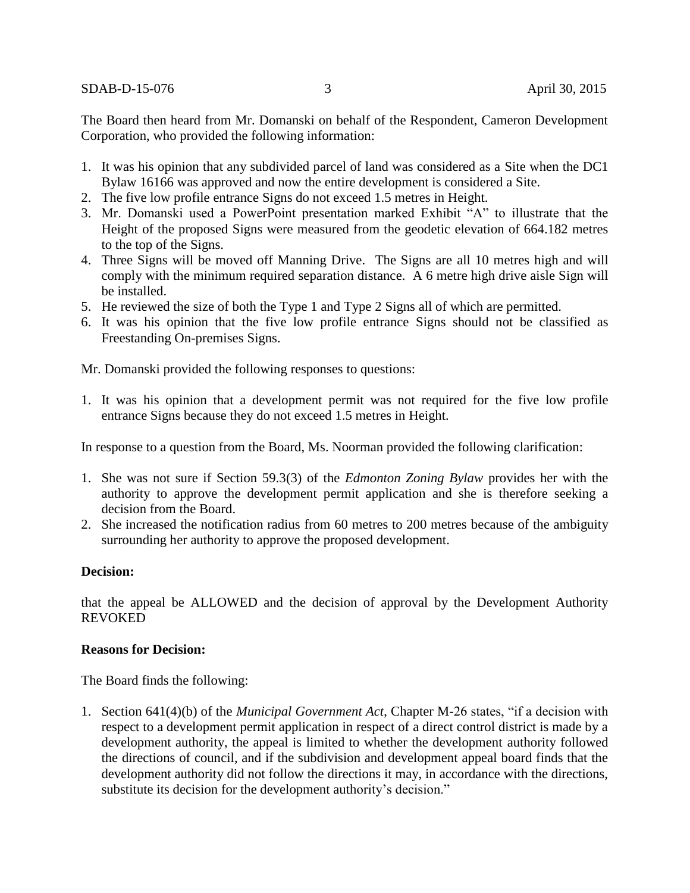SDAB-D-15-076 3 April 30, 2015

The Board then heard from Mr. Domanski on behalf of the Respondent, Cameron Development Corporation, who provided the following information:

- 1. It was his opinion that any subdivided parcel of land was considered as a Site when the DC1 Bylaw 16166 was approved and now the entire development is considered a Site.
- 2. The five low profile entrance Signs do not exceed 1.5 metres in Height.
- 3. Mr. Domanski used a PowerPoint presentation marked Exhibit "A" to illustrate that the Height of the proposed Signs were measured from the geodetic elevation of 664.182 metres to the top of the Signs.
- 4. Three Signs will be moved off Manning Drive. The Signs are all 10 metres high and will comply with the minimum required separation distance. A 6 metre high drive aisle Sign will be installed.
- 5. He reviewed the size of both the Type 1 and Type 2 Signs all of which are permitted.
- 6. It was his opinion that the five low profile entrance Signs should not be classified as Freestanding On-premises Signs.

Mr. Domanski provided the following responses to questions:

1. It was his opinion that a development permit was not required for the five low profile entrance Signs because they do not exceed 1.5 metres in Height.

In response to a question from the Board, Ms. Noorman provided the following clarification:

- 1. She was not sure if Section 59.3(3) of the *Edmonton Zoning Bylaw* provides her with the authority to approve the development permit application and she is therefore seeking a decision from the Board.
- 2. She increased the notification radius from 60 metres to 200 metres because of the ambiguity surrounding her authority to approve the proposed development.

# **Decision:**

that the appeal be ALLOWED and the decision of approval by the Development Authority REVOKED

## **Reasons for Decision:**

The Board finds the following:

1. Section 641(4)(b) of the *Municipal Government Act*, Chapter M-26 states, "if a decision with respect to a development permit application in respect of a direct control district is made by a development authority, the appeal is limited to whether the development authority followed the directions of council, and if the subdivision and development appeal board finds that the development authority did not follow the directions it may, in accordance with the directions, substitute its decision for the development authority's decision."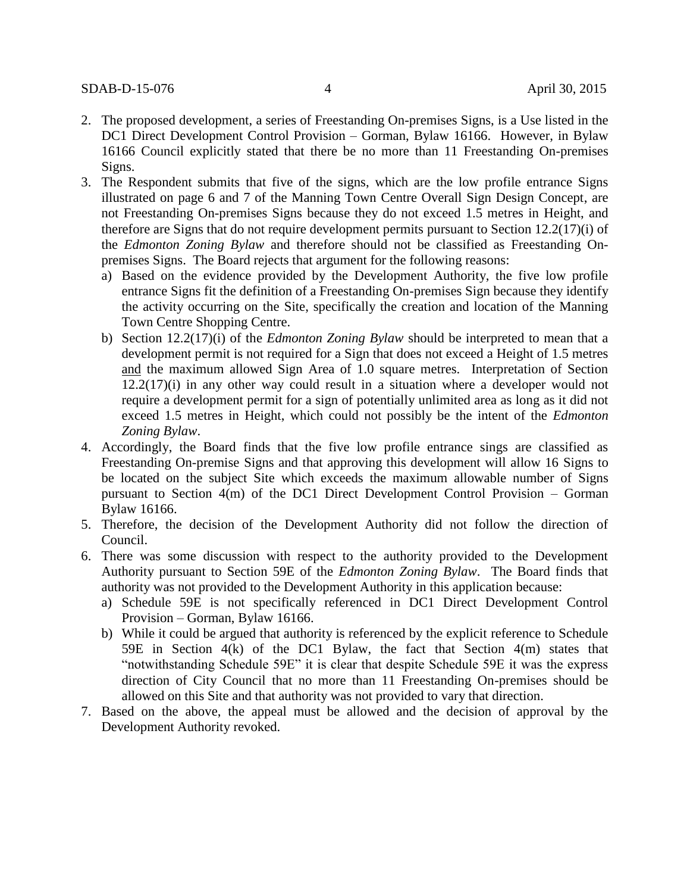- 2. The proposed development, a series of Freestanding On-premises Signs, is a Use listed in the DC1 Direct Development Control Provision – Gorman, Bylaw 16166. However, in Bylaw 16166 Council explicitly stated that there be no more than 11 Freestanding On-premises Signs.
- 3. The Respondent submits that five of the signs, which are the low profile entrance Signs illustrated on page 6 and 7 of the Manning Town Centre Overall Sign Design Concept, are not Freestanding On-premises Signs because they do not exceed 1.5 metres in Height, and therefore are Signs that do not require development permits pursuant to Section 12.2(17)(i) of the *Edmonton Zoning Bylaw* and therefore should not be classified as Freestanding Onpremises Signs. The Board rejects that argument for the following reasons:
	- a) Based on the evidence provided by the Development Authority, the five low profile entrance Signs fit the definition of a Freestanding On-premises Sign because they identify the activity occurring on the Site, specifically the creation and location of the Manning Town Centre Shopping Centre.
	- b) Section 12.2(17)(i) of the *Edmonton Zoning Bylaw* should be interpreted to mean that a development permit is not required for a Sign that does not exceed a Height of 1.5 metres and the maximum allowed Sign Area of 1.0 square metres. Interpretation of Section 12.2(17)(i) in any other way could result in a situation where a developer would not require a development permit for a sign of potentially unlimited area as long as it did not exceed 1.5 metres in Height, which could not possibly be the intent of the *Edmonton Zoning Bylaw*.
- 4. Accordingly, the Board finds that the five low profile entrance sings are classified as Freestanding On-premise Signs and that approving this development will allow 16 Signs to be located on the subject Site which exceeds the maximum allowable number of Signs pursuant to Section 4(m) of the DC1 Direct Development Control Provision – Gorman Bylaw 16166.
- 5. Therefore, the decision of the Development Authority did not follow the direction of Council.
- 6. There was some discussion with respect to the authority provided to the Development Authority pursuant to Section 59E of the *Edmonton Zoning Bylaw*. The Board finds that authority was not provided to the Development Authority in this application because:
	- a) Schedule 59E is not specifically referenced in DC1 Direct Development Control Provision – Gorman, Bylaw 16166.
	- b) While it could be argued that authority is referenced by the explicit reference to Schedule 59E in Section 4(k) of the DC1 Bylaw, the fact that Section 4(m) states that "notwithstanding Schedule 59E" it is clear that despite Schedule 59E it was the express direction of City Council that no more than 11 Freestanding On-premises should be allowed on this Site and that authority was not provided to vary that direction.
- 7. Based on the above, the appeal must be allowed and the decision of approval by the Development Authority revoked.